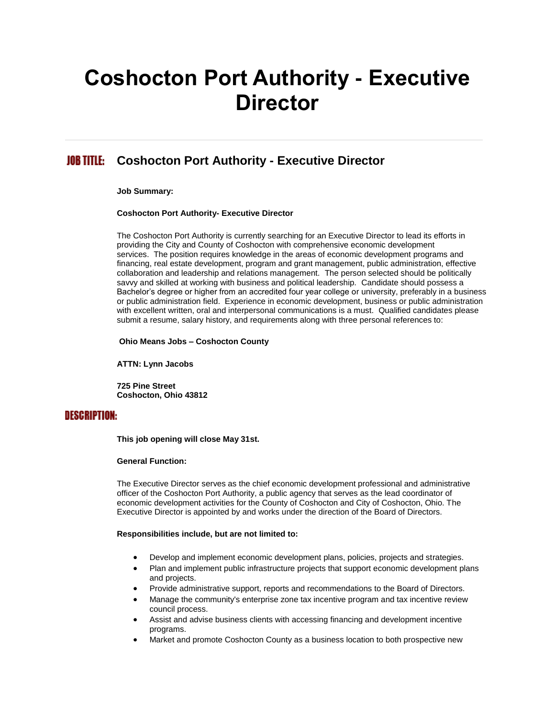# **Coshocton Port Authority - Executive Director**

#### JOB TITLE: **Coshocton Port Authority - Executive Director**

**Job Summary:**

#### **Coshocton Port Authority- Executive Director**

The Coshocton Port Authority is currently searching for an Executive Director to lead its efforts in providing the City and County of Coshocton with comprehensive economic development services. The position requires knowledge in the areas of economic development programs and financing, real estate development, program and grant management, public administration, effective collaboration and leadership and relations management. The person selected should be politically savvy and skilled at working with business and political leadership. Candidate should possess a Bachelor's degree or higher from an accredited four year college or university, preferably in a business or public administration field. Experience in economic development, business or public administration with excellent written, oral and interpersonal communications is a must. Qualified candidates please submit a resume, salary history, and requirements along with three personal references to:

**Ohio Means Jobs – Coshocton County**

**ATTN: Lynn Jacobs**

**725 Pine Street Coshocton, Ohio 43812**

# **DESCRIPTION:**

**This job opening will close May 31st.**

#### **General Function:**

The Executive Director serves as the chief economic development professional and administrative officer of the Coshocton Port Authority, a public agency that serves as the lead coordinator of economic development activities for the County of Coshocton and City of Coshocton, Ohio. The Executive Director is appointed by and works under the direction of the Board of Directors.

#### **Responsibilities include, but are not limited to:**

- Develop and implement economic development plans, policies, projects and strategies.
- Plan and implement public infrastructure projects that support economic development plans and projects.
- Provide administrative support, reports and recommendations to the Board of Directors.
- Manage the community's enterprise zone tax incentive program and tax incentive review council process.
- Assist and advise business clients with accessing financing and development incentive programs.
- Market and promote Coshocton County as a business location to both prospective new